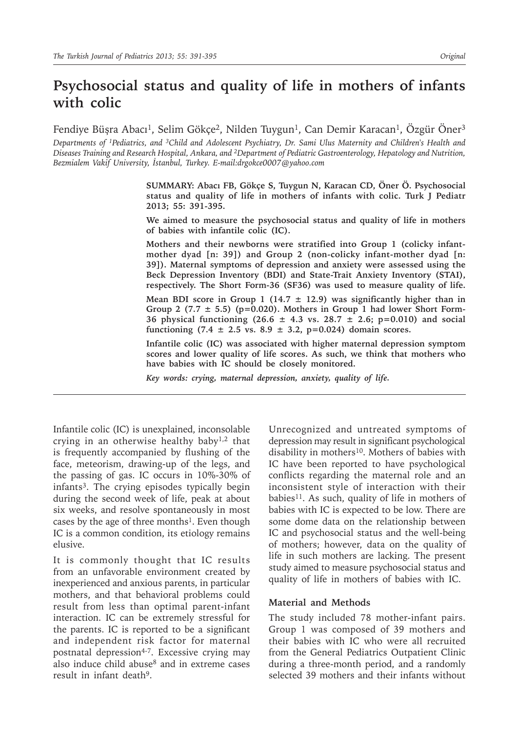# **Psychosocial status and quality of life in mothers of infants with colic**

Fendiye Büşra Abacı<sup>1</sup>, Selim Gökçe<sup>2</sup>, Nilden Tuygun<sup>1</sup>, Can Demir Karacan<sup>1</sup>, Özgür Öner<sup>3</sup>

*Departments of 1Pediatrics, and 3Child and Adolescent Psychiatry, Dr. Sami Ulus Maternity and Children's Health and Diseases Training and Research Hospital, Ankara, and <sup>2</sup>Department of Pediatric Gastroenterology, Hepatology and Nutrition, Bezmialem Vakif University, İstanbul, Turkey. E-mail:drgokce0007@yahoo.com*

> **SUMMARY: Abacı FB, Gökçe S, Tuygun N, Karacan CD, Öner Ö. Psychosocial status and quality of life in mothers of infants with colic. Turk J Pediatr 2013; 55: 391-395.**

> **We aimed to measure the psychosocial status and quality of life in mothers of babies with infantile colic (IC).**

> **Mothers and their newborns were stratified into Group 1 (colicky infantmother dyad [n: 39]) and Group 2 (non-colicky infant-mother dyad [n: 39]). Maternal symptoms of depression and anxiety were assessed using the Beck Depression Inventory (BDI) and State-Trait Anxiety Inventory (STAI), respectively. The Short Form-36 (SF36) was used to measure quality of life.**

> **Mean BDI score in Group 1 (14.7 ± 12.9) was significantly higher than in Group 2 (7.7 ± 5.5) (p=0.020). Mothers in Group 1 had lower Short Form-36 physical functioning (26.6 ± 4.3 vs. 28.7 ± 2.6; p=0.010) and social functioning (7.4 ± 2.5 vs. 8.9 ± 3.2, p=0.024) domain scores.**

> **Infantile colic (IC) was associated with higher maternal depression symptom scores and lower quality of life scores. As such, we think that mothers who have babies with IC should be closely monitored.**

*Key words: crying, maternal depression, anxiety, quality of life.*

Infantile colic (IC) is unexplained, inconsolable crying in an otherwise healthy baby<sup>1,2</sup> that is frequently accompanied by flushing of the face, meteorism, drawing-up of the legs, and the passing of gas. IC occurs in 10%-30% of infants3. The crying episodes typically begin during the second week of life, peak at about six weeks, and resolve spontaneously in most cases by the age of three months<sup>1</sup>. Even though IC is a common condition, its etiology remains elusive.

It is commonly thought that IC results from an unfavorable environment created by inexperienced and anxious parents, in particular mothers, and that behavioral problems could result from less than optimal parent-infant interaction. IC can be extremely stressful for the parents. IC is reported to be a significant and independent risk factor for maternal postnatal depression<sup>4-7</sup>. Excessive crying may also induce child abuse<sup>8</sup> and in extreme cases result in infant death<sup>9</sup>.

Unrecognized and untreated symptoms of depression may result in significant psychological disability in mothers<sup>10</sup>. Mothers of babies with IC have been reported to have psychological conflicts regarding the maternal role and an inconsistent style of interaction with their babies<sup>11</sup>. As such, quality of life in mothers of babies with IC is expected to be low. There are some dome data on the relationship between IC and psychosocial status and the well-being of mothers; however, data on the quality of life in such mothers are lacking. The present study aimed to measure psychosocial status and quality of life in mothers of babies with IC.

#### **Material and Methods**

The study included 78 mother-infant pairs. Group 1 was composed of 39 mothers and their babies with IC who were all recruited from the General Pediatrics Outpatient Clinic during a three-month period, and a randomly selected 39 mothers and their infants without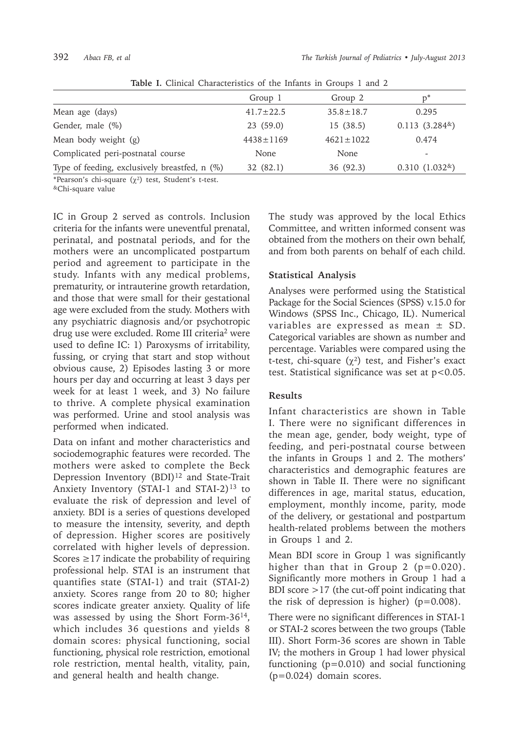| <b>Reply 1:</b> Onlinear Onaracteributed of the milanted in Groups 1 and 2 |                 |                 |                 |  |
|----------------------------------------------------------------------------|-----------------|-----------------|-----------------|--|
|                                                                            | Group 1         | Group 2         | $D^*$           |  |
| Mean age (days)                                                            | $41.7 \pm 22.5$ | $35.8 \pm 18.7$ | 0.295           |  |
| Gender, male (%)                                                           | 23(59.0)        | 15(38.5)        | $0.113(3.284*)$ |  |
| Mean body weight (g)                                                       | $4438 \pm 1169$ | $4621 \pm 1022$ | 0.474           |  |
| Complicated peri-postnatal course                                          | None            | None            | -               |  |
| Type of feeding, exclusively breastfed, n (%)                              | 32(82.1)        | 36 (92.3)       | $0.310(1.032*)$ |  |

**Table I.** Clinical Characteristics of the Infants in Groups 1 and 2

\*Pearson's chi-square  $(\chi^2)$  test, Student's t-test.

&Chi-square value

IC in Group 2 served as controls. Inclusion criteria for the infants were uneventful prenatal, perinatal, and postnatal periods, and for the mothers were an uncomplicated postpartum period and agreement to participate in the study. Infants with any medical problems, prematurity, or intrauterine growth retardation, and those that were small for their gestational age were excluded from the study. Mothers with any psychiatric diagnosis and/or psychotropic drug use were excluded. Rome III criteria<sup>2</sup> were used to define IC: 1) Paroxysms of irritability, fussing, or crying that start and stop without obvious cause, 2) Episodes lasting 3 or more hours per day and occurring at least 3 days per week for at least 1 week, and 3) No failure to thrive. A complete physical examination was performed. Urine and stool analysis was performed when indicated.

Data on infant and mother characteristics and sociodemographic features were recorded. The mothers were asked to complete the Beck Depression Inventory (BDI)<sup>12</sup> and State-Trait Anxiety Inventory (STAI-1 and STAI-2) $13$  to evaluate the risk of depression and level of anxiety. BDI is a series of questions developed to measure the intensity, severity, and depth of depression. Higher scores are positively correlated with higher levels of depression. Scores  $\geq$ 17 indicate the probability of requiring professional help. STAI is an instrument that quantifies state (STAI-1) and trait (STAI-2) anxiety. Scores range from 20 to 80; higher scores indicate greater anxiety. Quality of life was assessed by using the Short Form-3614, which includes 36 questions and yields 8 domain scores: physical functioning, social functioning, physical role restriction, emotional role restriction, mental health, vitality, pain, and general health and health change.

The study was approved by the local Ethics Committee, and written informed consent was obtained from the mothers on their own behalf, and from both parents on behalf of each child.

## **Statistical Analysis**

Analyses were performed using the Statistical Package for the Social Sciences (SPSS) v.15.0 for Windows (SPSS Inc., Chicago, IL). Numerical variables are expressed as mean ± SD. Categorical variables are shown as number and percentage. Variables were compared using the t-test, chi-square  $(\chi^2)$  test, and Fisher's exact test. Statistical significance was set at p<0.05.

# **Results**

Infant characteristics are shown in Table I. There were no significant differences in the mean age, gender, body weight, type of feeding, and peri-postnatal course between the infants in Groups 1 and 2. The mothers' characteristics and demographic features are shown in Table II. There were no significant differences in age, marital status, education, employment, monthly income, parity, mode of the delivery, or gestational and postpartum health-related problems between the mothers in Groups 1 and 2.

Mean BDI score in Group 1 was significantly higher than that in Group 2  $(p=0.020)$ . Significantly more mothers in Group 1 had a BDI score >17 (the cut-off point indicating that the risk of depression is higher)  $(p=0.008)$ .

There were no significant differences in STAI-1 or STAI-2 scores between the two groups (Table III). Short Form-36 scores are shown in Table IV; the mothers in Group 1 had lower physical functioning (p=0.010) and social functioning (p=0.024) domain scores.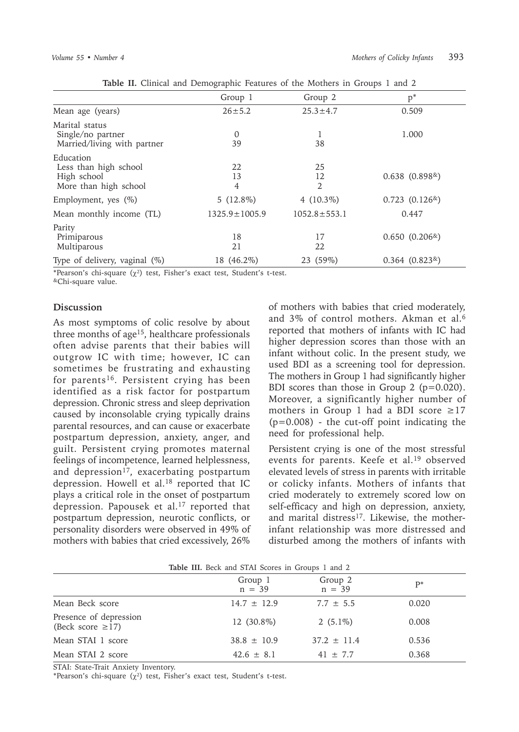|                                                                            | ັ                   |                            |                    |  |
|----------------------------------------------------------------------------|---------------------|----------------------------|--------------------|--|
|                                                                            | Group 1             | Group 2                    | $p^*$              |  |
| Mean age (years)                                                           | $26 \pm 5.2$        | $25.3 \pm 4.7$             | 0.509              |  |
| Marital status<br>Single/no partner<br>Married/living with partner         | $\Omega$<br>39      | 1<br>38                    | 1.000              |  |
| Education<br>Less than high school<br>High school<br>More than high school | 22<br>13<br>4       | 25<br>12<br>$\overline{2}$ | $0.638(0.898*)$    |  |
| Employment, yes $(\%)$                                                     | 5 $(12.8\%)$        | 4 $(10.3\%)$               | $0.723$ $(0.126*)$ |  |
| Mean monthly income (TL)                                                   | $1325.9 \pm 1005.9$ | $1052.8 \pm 553.1$         | 0.447              |  |
| Parity<br>Primiparous<br>Multiparous                                       | 18<br>21            | 17<br>22                   | $0.650(0.206*)$    |  |
| Type of delivery, vaginal (%)                                              | 18 (46.2%)          | 23 (59%)                   | $0.364$ $(0.823*)$ |  |

**Table II.** Clinical and Demographic Features of the Mothers in Groups 1 and 2

\*Pearson's chi-square  $(\chi^2)$  test, Fisher's exact test, Student's t-test.

&Chi-square value.

### **Discussion**

As most symptoms of colic resolve by about three months of age15, healthcare professionals often advise parents that their babies will outgrow IC with time; however, IC can sometimes be frustrating and exhausting for parents<sup>16</sup>. Persistent crying has been identified as a risk factor for postpartum depression. Chronic stress and sleep deprivation caused by inconsolable crying typically drains parental resources, and can cause or exacerbate postpartum depression, anxiety, anger, and guilt. Persistent crying promotes maternal feelings of incompetence, learned helplessness, and depression<sup>17</sup>, exacerbating postpartum depression. Howell et al.<sup>18</sup> reported that IC plays a critical role in the onset of postpartum depression. Papousek et al.<sup>17</sup> reported that postpartum depression, neurotic conflicts, or personality disorders were observed in 49% of mothers with babies that cried excessively, 26%

of mothers with babies that cried moderately, and 3% of control mothers. Akman et al.6 reported that mothers of infants with IC had higher depression scores than those with an infant without colic. In the present study, we used BDI as a screening tool for depression. The mothers in Group 1 had significantly higher BDI scores than those in Group 2 (p=0.020). Moreover, a significantly higher number of mothers in Group 1 had a BDI score  $\geq$ 17  $(p=0.008)$  - the cut-off point indicating the need for professional help.

Persistent crying is one of the most stressful events for parents. Keefe et al.19 observed elevated levels of stress in parents with irritable or colicky infants. Mothers of infants that cried moderately to extremely scored low on self-efficacy and high on depression, anxiety, and marital distress<sup>17</sup>. Likewise, the motherinfant relationship was more distressed and disturbed among the mothers of infants with

| Table III. Beck and STAI Scores in Groups 1 and 2 |                     |                     |       |  |
|---------------------------------------------------|---------------------|---------------------|-------|--|
|                                                   | Group 1<br>$n = 39$ | Group 2<br>$n = 39$ | $P^*$ |  |
| Mean Beck score                                   | $14.7 \pm 12.9$     | $7.7 \pm 5.5$       | 0.020 |  |
| Presence of depression<br>(Beck score $\geq$ 17)  | 12 (30.8%)          | 2 $(5.1\%)$         | 0.008 |  |
| Mean STAI 1 score                                 | $38.8 \pm 10.9$     | $37.2 \pm 11.4$     | 0.536 |  |
| Mean STAI 2 score                                 | $42.6 \pm 8.1$      | $41 \pm 7.7$        | 0.368 |  |

STAI: State-Trait Anxiety Inventory.

\*Pearson's chi-square  $(\chi^2)$  test, Fisher's exact test, Student's t-test.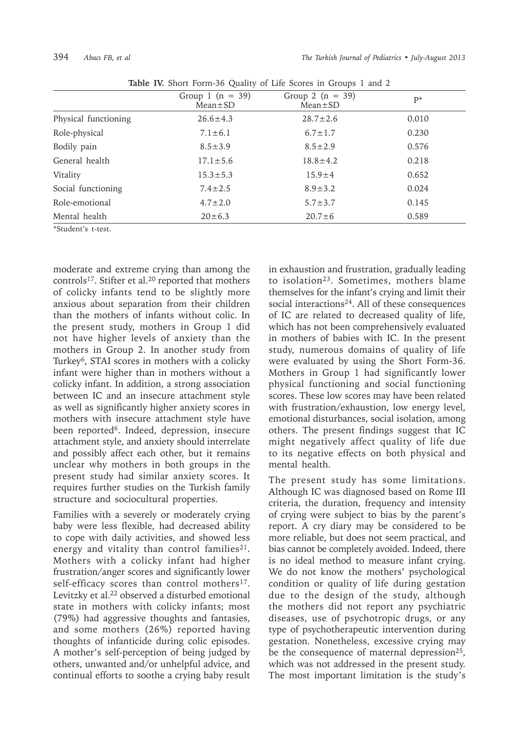| <b>Rapic IV.</b> Short Form-50 Quality of Life Scores in Groups 1 and 2 |                                       |                                     |       |  |
|-------------------------------------------------------------------------|---------------------------------------|-------------------------------------|-------|--|
|                                                                         | Group 1 ( $n = 39$ )<br>$Mean \pm SD$ | Group 2 $(n = 39)$<br>$Mean \pm SD$ | $P^*$ |  |
| Physical functioning                                                    | $26.6 \pm 4.3$                        | $28.7 \pm 2.6$                      | 0.010 |  |
| Role-physical                                                           | $7.1 \pm 6.1$                         | $6.7 \pm 1.7$                       | 0.230 |  |
| Bodily pain                                                             | $8.5 \pm 3.9$                         | $8.5 \pm 2.9$                       | 0.576 |  |
| General health                                                          | $17.1 \pm 5.6$                        | $18.8 \pm 4.2$                      | 0.218 |  |
| Vitality                                                                | $15.3 \pm 5.3$                        | $15.9 \pm 4$                        | 0.652 |  |
| Social functioning                                                      | $7.4 \pm 2.5$                         | $8.9 \pm 3.2$                       | 0.024 |  |
| Role-emotional                                                          | $4.7 \pm 2.0$                         | $5.7 \pm 3.7$                       | 0.145 |  |
| Mental health                                                           | $20 \pm 6.3$                          | $20.7 \pm 6$                        | 0.589 |  |

**Table IV.** Short Form-36 Quality of Life Scores in Groups 1 and 2

\*Student's t-test.

moderate and extreme crying than among the controls<sup>17</sup>. Stifter et al.<sup>20</sup> reported that mothers of colicky infants tend to be slightly more anxious about separation from their children than the mothers of infants without colic. In the present study, mothers in Group 1 did not have higher levels of anxiety than the mothers in Group 2. In another study from Turkey<sup>6</sup>, STAI scores in mothers with a colicky infant were higher than in mothers without a colicky infant. In addition, a strong association between IC and an insecure attachment style as well as significantly higher anxiety scores in mothers with insecure attachment style have been reported<sup>6</sup>. Indeed, depression, insecure attachment style, and anxiety should interrelate and possibly affect each other, but it remains unclear why mothers in both groups in the present study had similar anxiety scores. It requires further studies on the Turkish family structure and sociocultural properties.

Families with a severely or moderately crying baby were less flexible, had decreased ability to cope with daily activities, and showed less energy and vitality than control families<sup>21</sup>. Mothers with a colicky infant had higher frustration/anger scores and significantly lower self-efficacy scores than control mothers<sup>17</sup>. Levitzky et al.22 observed a disturbed emotional state in mothers with colicky infants; most (79%) had aggressive thoughts and fantasies, and some mothers (26%) reported having thoughts of infanticide during colic episodes. A mother's self-perception of being judged by others, unwanted and/or unhelpful advice, and continual efforts to soothe a crying baby result

in exhaustion and frustration, gradually leading to isolation<sup>23</sup>. Sometimes, mothers blame themselves for the infant's crying and limit their social interactions<sup>24</sup>. All of these consequences of IC are related to decreased quality of life, which has not been comprehensively evaluated in mothers of babies with IC. In the present study, numerous domains of quality of life were evaluated by using the Short Form-36. Mothers in Group 1 had significantly lower physical functioning and social functioning scores. These low scores may have been related with frustration/exhaustion, low energy level, emotional disturbances, social isolation, among others. The present findings suggest that IC might negatively affect quality of life due to its negative effects on both physical and mental health.

The present study has some limitations. Although IC was diagnosed based on Rome III criteria, the duration, frequency and intensity of crying were subject to bias by the parent's report. A cry diary may be considered to be more reliable, but does not seem practical, and bias cannot be completely avoided. Indeed, there is no ideal method to measure infant crying. We do not know the mothers' psychological condition or quality of life during gestation due to the design of the study, although the mothers did not report any psychiatric diseases, use of psychotropic drugs, or any type of psychotherapeutic intervention during gestation. Nonetheless, excessive crying may be the consequence of maternal depression<sup>25</sup>, which was not addressed in the present study. The most important limitation is the study's